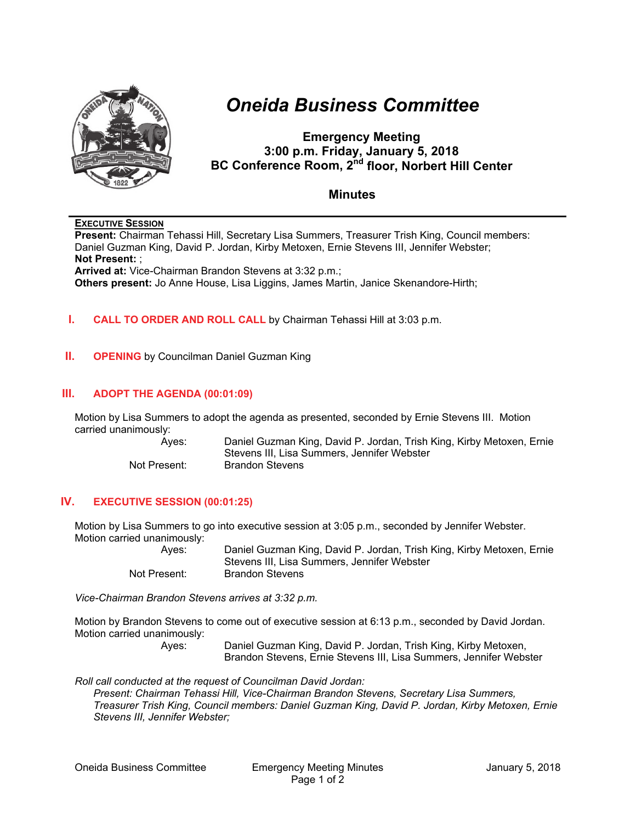

# *Oneida Business Committee*

# **Emergency Meeting 3:00 p.m. Friday, January 5, 2018 BC Conference Room, 2<sup>nd</sup> floor, Norbert Hill Center**

## **Minutes**

#### **EXECUTIVE SESSION**

**Present:** Chairman Tehassi Hill, Secretary Lisa Summers, Treasurer Trish King, Council members: Daniel Guzman King, David P. Jordan, Kirby Metoxen, Ernie Stevens III, Jennifer Webster; **Not Present:** ; **Arrived at:** Vice-Chairman Brandon Stevens at 3:32 p.m.;

**Others present:** Jo Anne House, Lisa Liggins, James Martin, Janice Skenandore-Hirth;

#### **I. CALL TO ORDER AND ROLL CALL** by Chairman Tehassi Hill at 3:03 p.m.

**II. OPENING** by Councilman Daniel Guzman King

#### **III. ADOPT THE AGENDA (00:01:09)**

Motion by Lisa Summers to adopt the agenda as presented, seconded by Ernie Stevens III. Motion carried unanimously:

Ayes: Daniel Guzman King, David P. Jordan, Trish King, Kirby Metoxen, Ernie Stevens III, Lisa Summers, Jennifer Webster Not Present: Brandon Stevens

#### **IV. EXECUTIVE SESSION (00:01:25)**

Motion by Lisa Summers to go into executive session at 3:05 p.m., seconded by Jennifer Webster. Motion carried unanimously:

> Ayes: Daniel Guzman King, David P. Jordan, Trish King, Kirby Metoxen, Ernie Stevens III, Lisa Summers, Jennifer Webster Not Present: Brandon Stevens

*Vice-Chairman Brandon Stevens arrives at 3:32 p.m.* 

Motion by Brandon Stevens to come out of executive session at 6:13 p.m., seconded by David Jordan. Motion carried unanimously:

Ayes: Daniel Guzman King, David P. Jordan, Trish King, Kirby Metoxen, Brandon Stevens, Ernie Stevens III, Lisa Summers, Jennifer Webster

*Roll call conducted at the request of Councilman David Jordan: Present: Chairman Tehassi Hill, Vice-Chairman Brandon Stevens, Secretary Lisa Summers, Treasurer Trish King, Council members: Daniel Guzman King, David P. Jordan, Kirby Metoxen, Ernie Stevens III, Jennifer Webster;*